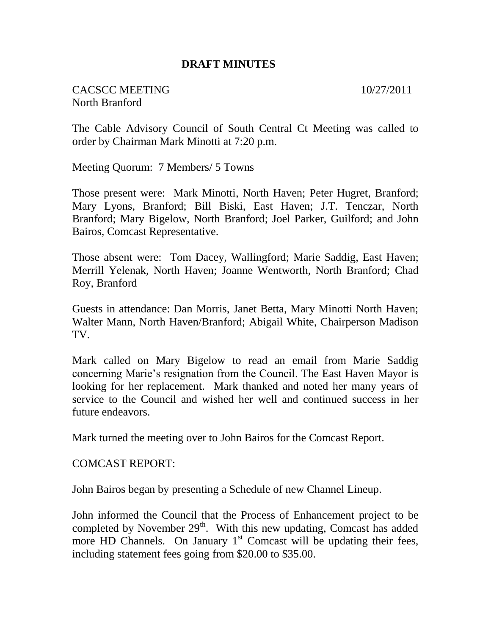#### **DRAFT MINUTES**

CACSCC MEETING 10/27/2011 North Branford

The Cable Advisory Council of South Central Ct Meeting was called to order by Chairman Mark Minotti at 7:20 p.m.

Meeting Quorum: 7 Members/ 5 Towns

Those present were: Mark Minotti, North Haven; Peter Hugret, Branford; Mary Lyons, Branford; Bill Biski, East Haven; J.T. Tenczar, North Branford; Mary Bigelow, North Branford; Joel Parker, Guilford; and John Bairos, Comcast Representative.

Those absent were: Tom Dacey, Wallingford; Marie Saddig, East Haven; Merrill Yelenak, North Haven; Joanne Wentworth, North Branford; Chad Roy, Branford

Guests in attendance: Dan Morris, Janet Betta, Mary Minotti North Haven; Walter Mann, North Haven/Branford; Abigail White, Chairperson Madison TV.

Mark called on Mary Bigelow to read an email from Marie Saddig concerning Marie's resignation from the Council. The East Haven Mayor is looking for her replacement. Mark thanked and noted her many years of service to the Council and wished her well and continued success in her future endeavors.

Mark turned the meeting over to John Bairos for the Comcast Report.

COMCAST REPORT:

John Bairos began by presenting a Schedule of new Channel Lineup.

John informed the Council that the Process of Enhancement project to be completed by November  $29<sup>th</sup>$ . With this new updating, Comcast has added more HD Channels. On January  $1<sup>st</sup>$  Comcast will be updating their fees, including statement fees going from \$20.00 to \$35.00.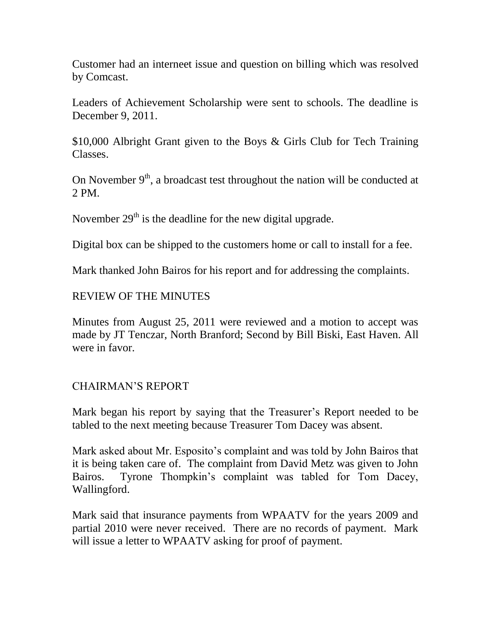Customer had an interneet issue and question on billing which was resolved by Comcast.

Leaders of Achievement Scholarship were sent to schools. The deadline is December 9, 2011.

\$10,000 Albright Grant given to the Boys & Girls Club for Tech Training Classes.

On November  $9<sup>th</sup>$ , a broadcast test throughout the nation will be conducted at 2 PM.

November  $29<sup>th</sup>$  is the deadline for the new digital upgrade.

Digital box can be shipped to the customers home or call to install for a fee.

Mark thanked John Bairos for his report and for addressing the complaints.

## REVIEW OF THE MINUTES

Minutes from August 25, 2011 were reviewed and a motion to accept was made by JT Tenczar, North Branford; Second by Bill Biski, East Haven. All were in favor.

# CHAIRMAN'S REPORT

Mark began his report by saying that the Treasurer's Report needed to be tabled to the next meeting because Treasurer Tom Dacey was absent.

Mark asked about Mr. Esposito's complaint and was told by John Bairos that it is being taken care of. The complaint from David Metz was given to John Bairos. Tyrone Thompkin's complaint was tabled for Tom Dacey, Wallingford.

Mark said that insurance payments from WPAATV for the years 2009 and partial 2010 were never received. There are no records of payment. Mark will issue a letter to WPAATV asking for proof of payment.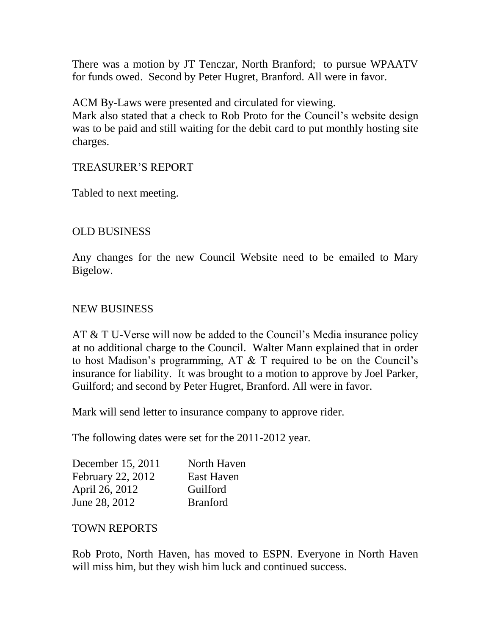There was a motion by JT Tenczar, North Branford; to pursue WPAATV for funds owed. Second by Peter Hugret, Branford. All were in favor.

ACM By-Laws were presented and circulated for viewing.

Mark also stated that a check to Rob Proto for the Council's website design was to be paid and still waiting for the debit card to put monthly hosting site charges.

### TREASURER'S REPORT

Tabled to next meeting.

## OLD BUSINESS

Any changes for the new Council Website need to be emailed to Mary Bigelow.

### NEW BUSINESS

AT & T U-Verse will now be added to the Council's Media insurance policy at no additional charge to the Council. Walter Mann explained that in order to host Madison's programming, AT & T required to be on the Council's insurance for liability. It was brought to a motion to approve by Joel Parker, Guilford; and second by Peter Hugret, Branford. All were in favor.

Mark will send letter to insurance company to approve rider.

The following dates were set for the 2011-2012 year.

| December 15, 2011        | North Haven     |
|--------------------------|-----------------|
| <b>February 22, 2012</b> | East Haven      |
| April 26, 2012           | Guilford        |
| June 28, 2012            | <b>Branford</b> |

### TOWN REPORTS

Rob Proto, North Haven, has moved to ESPN. Everyone in North Haven will miss him, but they wish him luck and continued success.